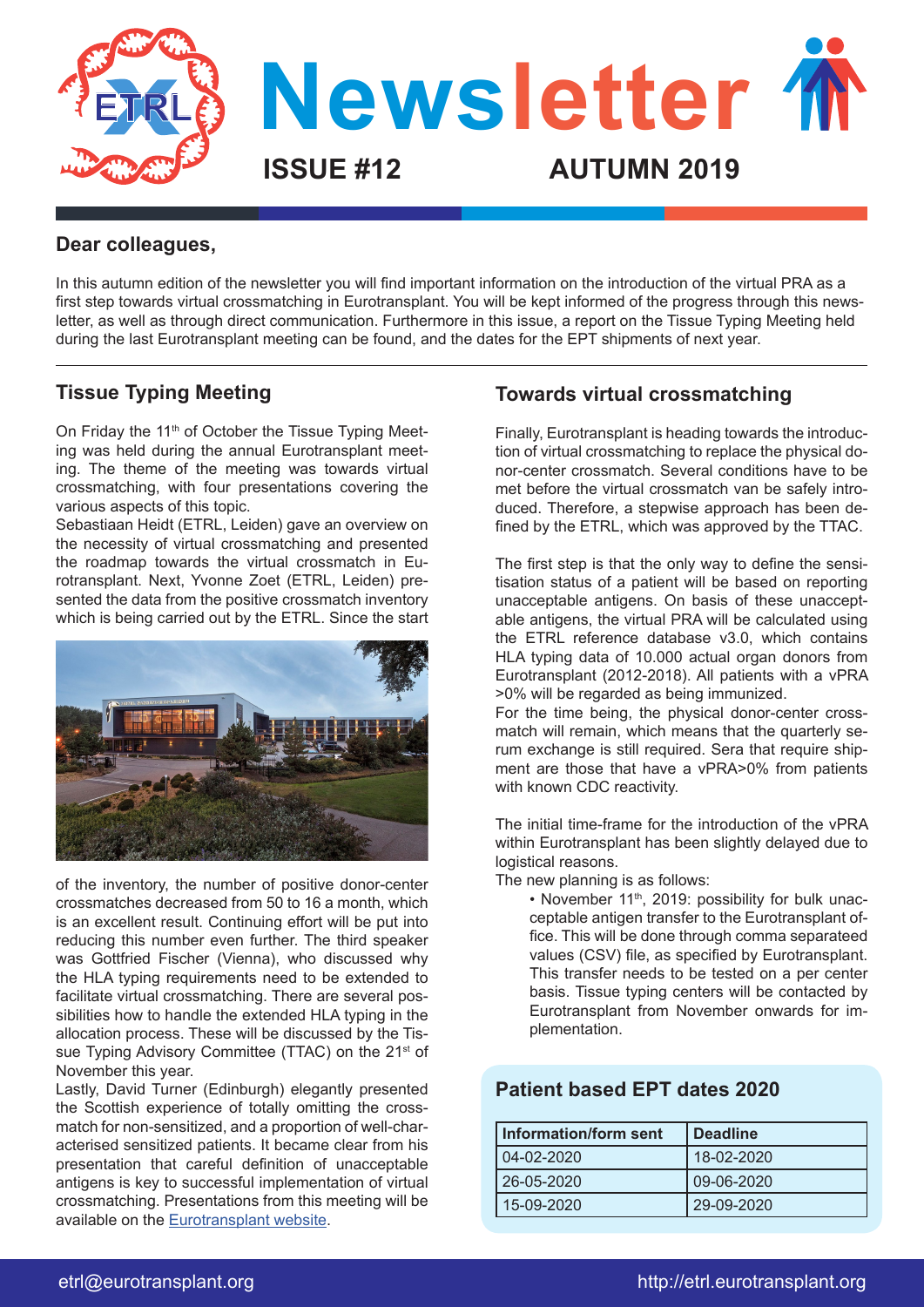

#### **Dear colleagues,**

In this autumn edition of the newsletter you will find important information on the introduction of the virtual PRA as a first step towards virtual crossmatching in Eurotransplant. You will be kept informed of the progress through this newsletter, as well as through direct communication. Furthermore in this issue, a report on the Tissue Typing Meeting held during the last Eurotransplant meeting can be found, and the dates for the EPT shipments of next year.

### **Tissue Typing Meeting**

On Friday the 11<sup>th</sup> of October the Tissue Typing Meeting was held during the annual Eurotransplant meeting. The theme of the meeting was towards virtual crossmatching, with four presentations covering the various aspects of this topic.

Sebastiaan Heidt (ETRL, Leiden) gave an overview on the necessity of virtual crossmatching and presented the roadmap towards the virtual crossmatch in Eurotransplant. Next, Yvonne Zoet (ETRL, Leiden) presented the data from the positive crossmatch inventory which is being carried out by the ETRL. Since the start



of the inventory, the number of positive donor-center crossmatches decreased from 50 to 16 a month, which is an excellent result. Continuing effort will be put into reducing this number even further. The third speaker was Gottfried Fischer (Vienna), who discussed why the HLA typing requirements need to be extended to facilitate virtual crossmatching. There are several possibilities how to handle the extended HLA typing in the allocation process. These will be discussed by the Tissue Typing Advisory Committee (TTAC) on the 21<sup>st</sup> of November this year.

Lastly, David Turner (Edinburgh) elegantly presented the Scottish experience of totally omitting the crossmatch for non-sensitized, and a proportion of well-characterised sensitized patients. It became clear from his presentation that careful definition of unacceptable antigens is key to successful implementation of virtual crossmatching. Presentations from this meeting will be available on the [Eurotransplant website.](https://www.eurotransplant.org/cms/)

### **Towards virtual crossmatching**

Finally, Eurotransplant is heading towards the introduction of virtual crossmatching to replace the physical donor-center crossmatch. Several conditions have to be met before the virtual crossmatch van be safely introduced. Therefore, a stepwise approach has been defined by the ETRL, which was approved by the TTAC.

The first step is that the only way to define the sensitisation status of a patient will be based on reporting unacceptable antigens. On basis of these unacceptable antigens, the virtual PRA will be calculated using the ETRL reference database v3.0, which contains HLA typing data of 10.000 actual organ donors from Eurotransplant (2012-2018). All patients with a vPRA >0% will be regarded as being immunized.

For the time being, the physical donor-center crossmatch will remain, which means that the quarterly serum exchange is still required. Sera that require shipment are those that have a vPRA>0% from patients with known CDC reactivity.

The initial time-frame for the introduction of the vPRA within Eurotransplant has been slightly delayed due to logistical reasons.

The new planning is as follows:

• November 11<sup>th</sup>, 2019: possibility for bulk unacceptable antigen transfer to the Eurotransplant office. This will be done through comma separateed values (CSV) file, as specified by Eurotransplant. This transfer needs to be tested on a per center basis. Tissue typing centers will be contacted by Eurotransplant from November onwards for implementation.

### **Patient based EPT dates 2020**

| Information/form sent | <b>Deadline</b> |
|-----------------------|-----------------|
| 04-02-2020            | 18-02-2020      |
| 26-05-2020            | 09-06-2020      |
| 15-09-2020            | 29-09-2020      |